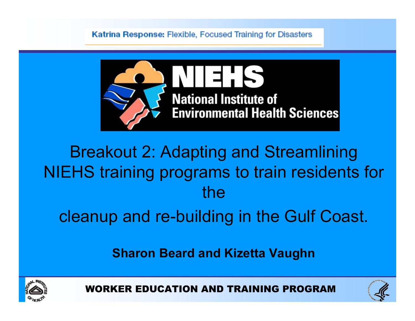Katrina Response: Flexible, Focused Training for Disasters



### Breakout 2: Adapting and Streamlining NIEHS training programs to train residents for the

cleanup and re-building in the Gulf Coast.

Sharon Beard and Kizetta Vaughn





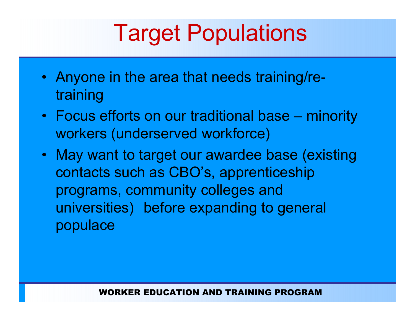### Target Populations

- Anyone in the area that needs training/retraining
- Focus efforts on our traditional base minority workers (underserved workforce)
- May want to target our awardee base (existing contacts such as CBO's, apprenticeship programs, community colleges and universities) before expanding to general populace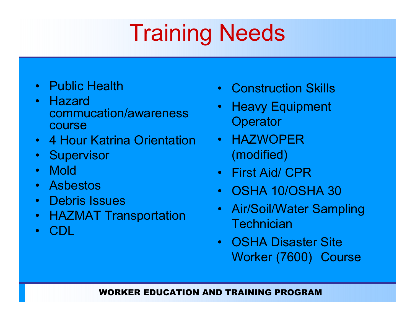# Training Needs

- Public Health
- Hazard commucation/awarenesscourse
- <sup>4</sup> Hour Katrina Orientation
- Supervisor
- •Mold
- $\bullet$ Asbestos
- Debris Issues<br>• UAZMAT Tre
- HAZMAT Transportation
- •CDL
- Construction Skills
- $\bullet$  Heavy Equipment **Operator**
- HAZWOPER (modified)
- First Aid/ CPR
- •OSHA 10/OSHA <sup>30</sup>
- $\bullet$  Air/Soil/Water Sampling **Technician**
- OSHA Disaster Site<br>• Werker (7600), Cor Worker (7600) Course

### WORKER EDUCATION AND TRAINING PROGRAM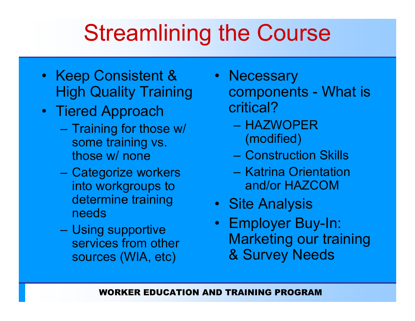## Streamlining the Course

- Keep Consistent & High Quality Training
- Tiered Approach •<br>Training factboo
	- Training for those w/ some training vs. those w/ none
	- Categorize workers into workgroups to determine training needs
	- Using supportive services from other<br>sources (WIA\_etc) sources (WIA, etc)
- Necessary<br>component components What is critical?
	- HAZWOPER (modified)
	- Construction Skills
	- Katrina Orientation<br>and/or HAZCOM and/or HAZCOM
- Site Analysis
- Employer Buy-In:<br>Marketing our tro Marketing our training & Survey Needs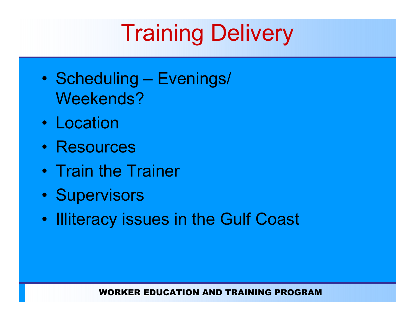# **Training Delivery**

- $\bullet$ Scheduling – Evenings/ Weekends?
- Location
- Resources
- Train the Trainer
- $\bullet$ **Supervisors**
- $\bullet$ Illiteracy issues in the Gulf Coast

#### WORKER EDUCATION AND TRAINING PROGRAM